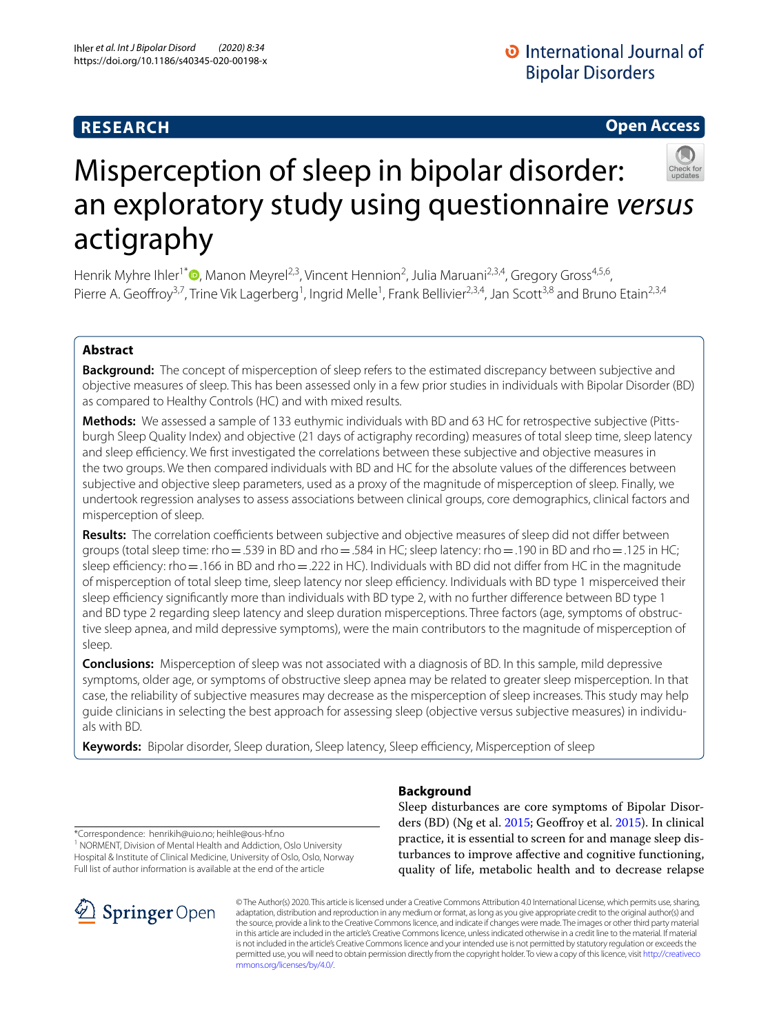# **RESEARCH**

# **O** International Journal of **Bipolar Disorders**

**Open Access**



# Misperception of sleep in bipolar disorder: an exploratory study using questionnaire *versus* actigraphy

Henrik Myhre Ihler<sup>1\*</sup><sup>®</sup>[,](http://orcid.org/0000-0001-6824-3031) Manon Meyrel<sup>2,3</sup>, Vincent Hennion<sup>2</sup>, Julia Maruani<sup>2,3,4</sup>, Gregory Gross<sup>4,5,6</sup>, Pierre A. Geoffroy<sup>3,7</sup>, Trine Vik Lagerberg<sup>1</sup>, Ingrid Melle<sup>1</sup>, Frank Bellivier<sup>2,3,4</sup>, Jan Scott<sup>3,8</sup> and Bruno Etain<sup>2,3,4</sup>

# **Abstract**

**Background:** The concept of misperception of sleep refers to the estimated discrepancy between subjective and objective measures of sleep. This has been assessed only in a few prior studies in individuals with Bipolar Disorder (BD) as compared to Healthy Controls (HC) and with mixed results.

Methods: We assessed a sample of 133 euthymic individuals with BD and 63 HC for retrospective subjective (Pittsburgh Sleep Quality Index) and objective (21 days of actigraphy recording) measures of total sleep time, sleep latency and sleep efficiency. We first investigated the correlations between these subjective and objective measures in the two groups. We then compared individuals with BD and HC for the absolute values of the diferences between subjective and objective sleep parameters, used as a proxy of the magnitude of misperception of sleep. Finally, we undertook regression analyses to assess associations between clinical groups, core demographics, clinical factors and misperception of sleep.

Results: The correlation coefficients between subjective and objective measures of sleep did not differ between groups (total sleep time: rho=.539 in BD and rho=.584 in HC; sleep latency: rho=.190 in BD and rho=.125 in HC; sleep efficiency: rho = .166 in BD and rho = .222 in HC). Individuals with BD did not differ from HC in the magnitude of misperception of total sleep time, sleep latency nor sleep efficiency. Individuals with BD type 1 misperceived their sleep efficiency significantly more than individuals with BD type 2, with no further difference between BD type 1 and BD type 2 regarding sleep latency and sleep duration misperceptions. Three factors (age, symptoms of obstructive sleep apnea, and mild depressive symptoms), were the main contributors to the magnitude of misperception of sleep.

**Conclusions:** Misperception of sleep was not associated with a diagnosis of BD. In this sample, mild depressive symptoms, older age, or symptoms of obstructive sleep apnea may be related to greater sleep misperception. In that case, the reliability of subjective measures may decrease as the misperception of sleep increases. This study may help guide clinicians in selecting the best approach for assessing sleep (objective versus subjective measures) in individuals with BD.

Keywords: Bipolar disorder, Sleep duration, Sleep latency, Sleep efficiency, Misperception of sleep

\*Correspondence: henrikih@uio.no; heihle@ous‑hf.no

<sup>1</sup> NORMENT, Division of Mental Health and Addiction, Oslo University Hospital & Institute of Clinical Medicine, University of Oslo, Oslo, Norway Full list of author information is available at the end of the article



# **Background**

Sleep disturbances are core symptoms of Bipolar Disorders (BD) (Ng et al. [2015;](#page-8-0) Geofroy et al. [2015](#page-8-1)). In clinical practice, it is essential to screen for and manage sleep disturbances to improve afective and cognitive functioning, quality of life, metabolic health and to decrease relapse

© The Author(s) 2020. This article is licensed under a Creative Commons Attribution 4.0 International License, which permits use, sharing, adaptation, distribution and reproduction in any medium or format, as long as you give appropriate credit to the original author(s) and the source, provide a link to the Creative Commons licence, and indicate if changes were made. The images or other third party material in this article are included in the article's Creative Commons licence, unless indicated otherwise in a credit line to the material. If material is not included in the article's Creative Commons licence and your intended use is not permitted by statutory regulation or exceeds the permitted use, you will need to obtain permission directly from the copyright holder. To view a copy of this licence, visit [http://creativeco](http://creativecommons.org/licenses/by/4.0/) [mmons.org/licenses/by/4.0/.](http://creativecommons.org/licenses/by/4.0/)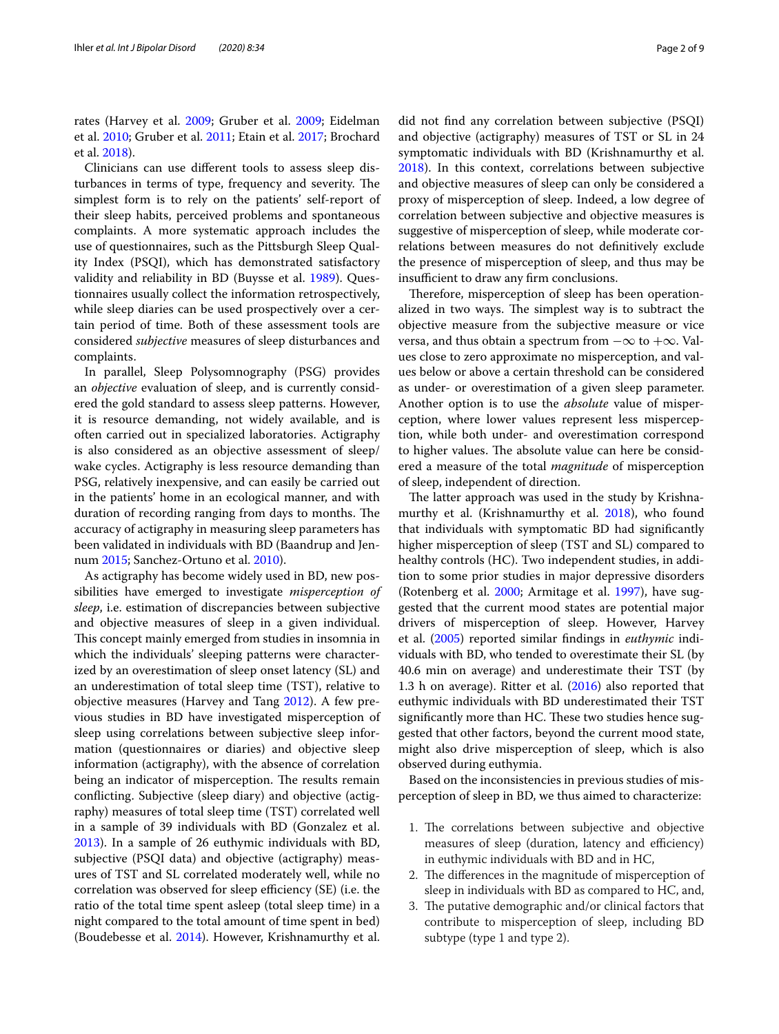rates (Harvey et al. [2009](#page-8-2); Gruber et al. [2009;](#page-8-3) Eidelman et al. [2010](#page-8-4); Gruber et al. [2011](#page-8-5); Etain et al. [2017;](#page-8-6) Brochard et al. [2018\)](#page-8-7).

Clinicians can use diferent tools to assess sleep disturbances in terms of type, frequency and severity. The simplest form is to rely on the patients' self-report of their sleep habits, perceived problems and spontaneous complaints. A more systematic approach includes the use of questionnaires, such as the Pittsburgh Sleep Quality Index (PSQI), which has demonstrated satisfactory validity and reliability in BD (Buysse et al. [1989\)](#page-8-8). Questionnaires usually collect the information retrospectively, while sleep diaries can be used prospectively over a certain period of time. Both of these assessment tools are considered *subjective* measures of sleep disturbances and complaints.

In parallel, Sleep Polysomnography (PSG) provides an *objective* evaluation of sleep, and is currently considered the gold standard to assess sleep patterns. However, it is resource demanding, not widely available, and is often carried out in specialized laboratories. Actigraphy is also considered as an objective assessment of sleep/ wake cycles. Actigraphy is less resource demanding than PSG, relatively inexpensive, and can easily be carried out in the patients' home in an ecological manner, and with duration of recording ranging from days to months. The accuracy of actigraphy in measuring sleep parameters has been validated in individuals with BD (Baandrup and Jennum [2015;](#page-8-9) Sanchez-Ortuno et al. [2010\)](#page-8-10).

As actigraphy has become widely used in BD, new possibilities have emerged to investigate *misperception of sleep*, i.e. estimation of discrepancies between subjective and objective measures of sleep in a given individual. This concept mainly emerged from studies in insomnia in which the individuals' sleeping patterns were characterized by an overestimation of sleep onset latency (SL) and an underestimation of total sleep time (TST), relative to objective measures (Harvey and Tang [2012\)](#page-8-11). A few previous studies in BD have investigated misperception of sleep using correlations between subjective sleep information (questionnaires or diaries) and objective sleep information (actigraphy), with the absence of correlation being an indicator of misperception. The results remain conficting. Subjective (sleep diary) and objective (actigraphy) measures of total sleep time (TST) correlated well in a sample of 39 individuals with BD (Gonzalez et al. [2013](#page-8-12)). In a sample of 26 euthymic individuals with BD, subjective (PSQI data) and objective (actigraphy) measures of TST and SL correlated moderately well, while no correlation was observed for sleep efficiency (SE) (i.e. the ratio of the total time spent asleep (total sleep time) in a night compared to the total amount of time spent in bed) (Boudebesse et al. [2014](#page-8-13)). However, Krishnamurthy et al.

did not fnd any correlation between subjective (PSQI) and objective (actigraphy) measures of TST or SL in 24 symptomatic individuals with BD (Krishnamurthy et al. [2018](#page-8-14)). In this context, correlations between subjective and objective measures of sleep can only be considered a proxy of misperception of sleep. Indeed, a low degree of correlation between subjective and objective measures is suggestive of misperception of sleep, while moderate correlations between measures do not defnitively exclude the presence of misperception of sleep, and thus may be insufficient to draw any firm conclusions.

Therefore, misperception of sleep has been operationalized in two ways. The simplest way is to subtract the objective measure from the subjective measure or vice versa, and thus obtain a spectrum from  $-\infty$  to  $+\infty$ . Values close to zero approximate no misperception, and values below or above a certain threshold can be considered as under- or overestimation of a given sleep parameter. Another option is to use the *absolute* value of misperception, where lower values represent less misperception, while both under- and overestimation correspond to higher values. The absolute value can here be considered a measure of the total *magnitude* of misperception of sleep, independent of direction.

The latter approach was used in the study by Krishnamurthy et al. (Krishnamurthy et al. [2018](#page-8-14)), who found that individuals with symptomatic BD had signifcantly higher misperception of sleep (TST and SL) compared to healthy controls (HC). Two independent studies, in addition to some prior studies in major depressive disorders (Rotenberg et al. [2000;](#page-8-15) Armitage et al. [1997\)](#page-8-16), have suggested that the current mood states are potential major drivers of misperception of sleep. However, Harvey et al. [\(2005\)](#page-8-17) reported similar fndings in *euthymic* individuals with BD, who tended to overestimate their SL (by 40.6 min on average) and underestimate their TST (by 1.3 h on average). Ritter et al. [\(2016\)](#page-8-18) also reported that euthymic individuals with BD underestimated their TST significantly more than HC. These two studies hence suggested that other factors, beyond the current mood state, might also drive misperception of sleep, which is also observed during euthymia.

Based on the inconsistencies in previous studies of misperception of sleep in BD, we thus aimed to characterize:

- 1. The correlations between subjective and objective measures of sleep (duration, latency and efficiency) in euthymic individuals with BD and in HC,
- 2. The differences in the magnitude of misperception of sleep in individuals with BD as compared to HC, and,
- 3. The putative demographic and/or clinical factors that contribute to misperception of sleep, including BD subtype (type 1 and type 2).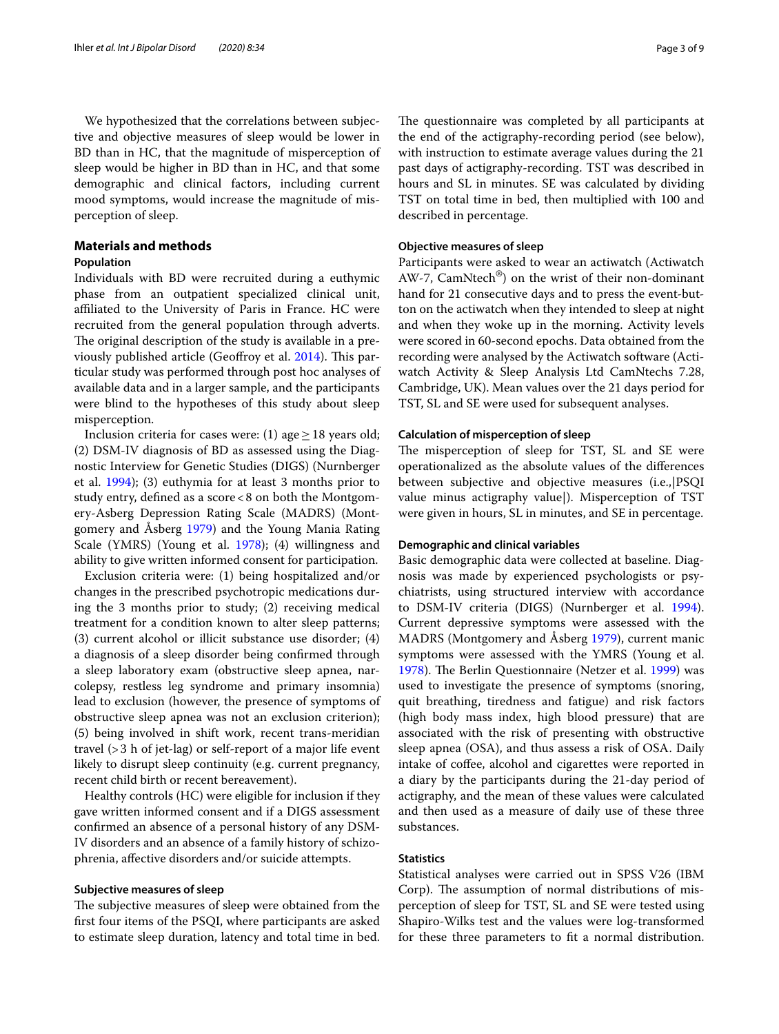We hypothesized that the correlations between subjective and objective measures of sleep would be lower in BD than in HC, that the magnitude of misperception of sleep would be higher in BD than in HC, and that some demographic and clinical factors, including current mood symptoms, would increase the magnitude of misperception of sleep.

#### **Materials and methods**

#### **Population**

Individuals with BD were recruited during a euthymic phase from an outpatient specialized clinical unit, afliated to the University of Paris in France. HC were recruited from the general population through adverts. The original description of the study is available in a pre-viously published article (Geoffroy et al. [2014\)](#page-8-19). This particular study was performed through post hoc analyses of available data and in a larger sample, and the participants were blind to the hypotheses of this study about sleep misperception.

Inclusion criteria for cases were: (1) age  $\geq$  18 years old; (2) DSM-IV diagnosis of BD as assessed using the Diagnostic Interview for Genetic Studies (DIGS) (Nurnberger et al. [1994](#page-8-20)); (3) euthymia for at least 3 months prior to study entry, defned as a score<8 on both the Montgomery-Asberg Depression Rating Scale (MADRS) (Montgomery and Åsberg [1979](#page-8-21)) and the Young Mania Rating Scale (YMRS) (Young et al. [1978\)](#page-8-22); (4) willingness and ability to give written informed consent for participation.

Exclusion criteria were: (1) being hospitalized and/or changes in the prescribed psychotropic medications during the 3 months prior to study; (2) receiving medical treatment for a condition known to alter sleep patterns; (3) current alcohol or illicit substance use disorder; (4) a diagnosis of a sleep disorder being confrmed through a sleep laboratory exam (obstructive sleep apnea, narcolepsy, restless leg syndrome and primary insomnia) lead to exclusion (however, the presence of symptoms of obstructive sleep apnea was not an exclusion criterion); (5) being involved in shift work, recent trans-meridian travel (>3 h of jet-lag) or self-report of a major life event likely to disrupt sleep continuity (e.g. current pregnancy, recent child birth or recent bereavement).

Healthy controls (HC) were eligible for inclusion if they gave written informed consent and if a DIGS assessment confrmed an absence of a personal history of any DSM-IV disorders and an absence of a family history of schizophrenia, afective disorders and/or suicide attempts.

### **Subjective measures of sleep**

The subjective measures of sleep were obtained from the frst four items of the PSQI, where participants are asked to estimate sleep duration, latency and total time in bed. The questionnaire was completed by all participants at the end of the actigraphy-recording period (see below), with instruction to estimate average values during the 21 past days of actigraphy-recording. TST was described in hours and SL in minutes. SE was calculated by dividing TST on total time in bed, then multiplied with 100 and described in percentage.

#### **Objective measures of sleep**

Participants were asked to wear an actiwatch (Actiwatch AW-7, CamNtech<sup>®</sup>) on the wrist of their non-dominant hand for 21 consecutive days and to press the event-button on the actiwatch when they intended to sleep at night and when they woke up in the morning. Activity levels were scored in 60-second epochs. Data obtained from the recording were analysed by the Actiwatch software (Actiwatch Activity & Sleep Analysis Ltd CamNtechs 7.28, Cambridge, UK). Mean values over the 21 days period for TST, SL and SE were used for subsequent analyses.

# **Calculation of misperception of sleep**

The misperception of sleep for TST, SL and SE were operationalized as the absolute values of the diferences between subjective and objective measures (i.e.,|PSQI value minus actigraphy value|). Misperception of TST were given in hours, SL in minutes, and SE in percentage.

#### **Demographic and clinical variables**

Basic demographic data were collected at baseline. Diagnosis was made by experienced psychologists or psychiatrists, using structured interview with accordance to DSM-IV criteria (DIGS) (Nurnberger et al. [1994](#page-8-20)). Current depressive symptoms were assessed with the MADRS (Montgomery and Åsberg [1979\)](#page-8-21), current manic symptoms were assessed with the YMRS (Young et al. [1978](#page-8-22)). The Berlin Questionnaire (Netzer et al. [1999](#page-8-23)) was used to investigate the presence of symptoms (snoring, quit breathing, tiredness and fatigue) and risk factors (high body mass index, high blood pressure) that are associated with the risk of presenting with obstructive sleep apnea (OSA), and thus assess a risk of OSA. Daily intake of coffee, alcohol and cigarettes were reported in a diary by the participants during the 21-day period of actigraphy, and the mean of these values were calculated and then used as a measure of daily use of these three substances.

# **Statistics**

Statistical analyses were carried out in SPSS V26 (IBM Corp). The assumption of normal distributions of misperception of sleep for TST, SL and SE were tested using Shapiro-Wilks test and the values were log-transformed for these three parameters to ft a normal distribution.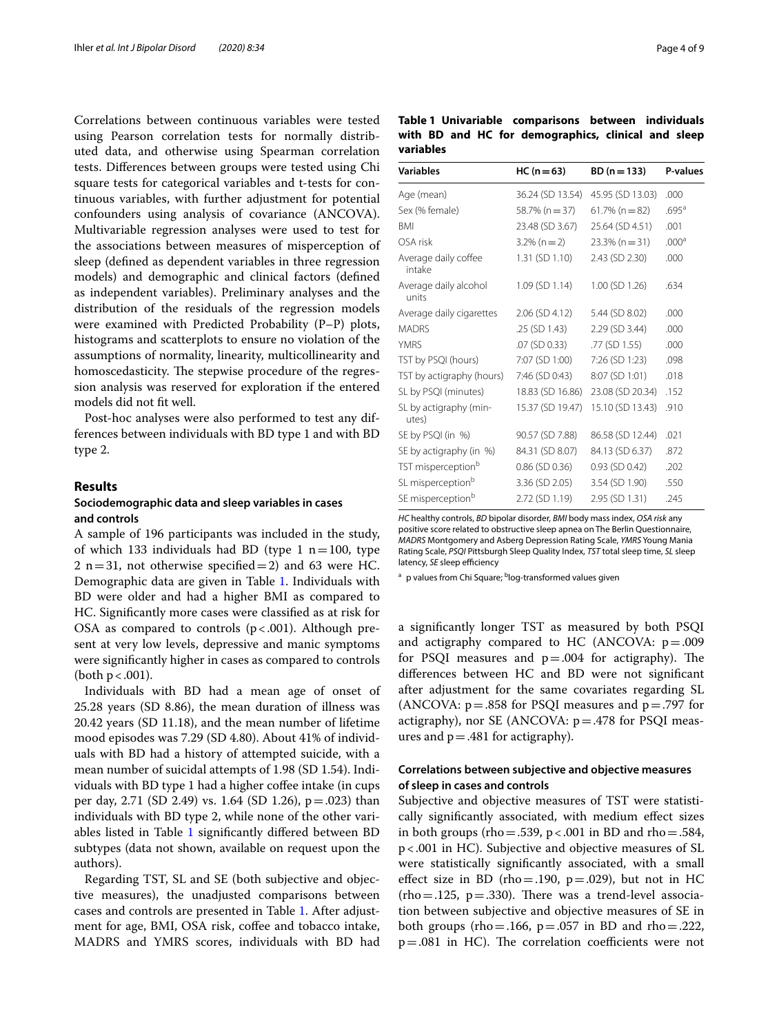Correlations between continuous variables were tested using Pearson correlation tests for normally distributed data, and otherwise using Spearman correlation tests. Diferences between groups were tested using Chi square tests for categorical variables and t-tests for continuous variables, with further adjustment for potential confounders using analysis of covariance (ANCOVA). Multivariable regression analyses were used to test for the associations between measures of misperception of sleep (defned as dependent variables in three regression models) and demographic and clinical factors (defned as independent variables). Preliminary analyses and the distribution of the residuals of the regression models were examined with Predicted Probability (P–P) plots, histograms and scatterplots to ensure no violation of the assumptions of normality, linearity, multicollinearity and homoscedasticity. The stepwise procedure of the regression analysis was reserved for exploration if the entered models did not ft well.

Post-hoc analyses were also performed to test any differences between individuals with BD type 1 and with BD type 2.

## **Results**

# **Sociodemographic data and sleep variables in cases and controls**

A sample of 196 participants was included in the study, of which 133 individuals had BD (type 1  $n=100$ , type 2 n=31, not otherwise specified=2) and 63 were HC. Demographic data are given in Table [1](#page-3-0). Individuals with BD were older and had a higher BMI as compared to HC. Signifcantly more cases were classifed as at risk for OSA as compared to controls  $(p < .001)$ . Although present at very low levels, depressive and manic symptoms were signifcantly higher in cases as compared to controls (both  $p < .001$ ).

Individuals with BD had a mean age of onset of 25.28 years (SD 8.86), the mean duration of illness was 20.42 years (SD 11.18), and the mean number of lifetime mood episodes was 7.29 (SD 4.80). About 41% of individuals with BD had a history of attempted suicide, with a mean number of suicidal attempts of 1.98 (SD 1.54). Individuals with BD type 1 had a higher coffee intake (in cups per day, 2.71 (SD 2.49) vs. 1.64 (SD 1.26), p=.023) than individuals with BD type 2, while none of the other variables listed in Table [1](#page-3-0) signifcantly difered between BD subtypes (data not shown, available on request upon the authors).

Regarding TST, SL and SE (both subjective and objective measures), the unadjusted comparisons between cases and controls are presented in Table [1.](#page-3-0) After adjustment for age, BMI, OSA risk, coffee and tobacco intake, MADRS and YMRS scores, individuals with BD had

<span id="page-3-0"></span>**Table 1 Univariable comparisons between individuals with BD and HC for demographics, clinical and sleep variables**

| Variables                       | $HC (n = 63)$       | $BD (n = 133)$      | P-values          |
|---------------------------------|---------------------|---------------------|-------------------|
| Age (mean)                      | 36.24 (SD 13.54)    | 45.95 (SD 13.03)    | .000              |
| Sex (% female)                  | $58.7\%$ (n = 37)   | $61.7\%$ (n = 82)   | .695a             |
| BMI                             | 23.48 (SD 3.67)     | 25.64 (SD 4.51)     | .001              |
| OSA risk                        | $3.2\%$ (n = 2)     | $23.3\%$ (n = 31)   | .000 <sup>a</sup> |
| Average daily coffee<br>intake  | $1.31$ (SD $1.10$ ) | 2.43 (SD 2.30)      | .000              |
| Average daily alcohol<br>units  | $1.09$ (SD $1.14$ ) | 1.00 (SD 1.26)      | .634              |
| Average daily cigarettes        | $2.06$ (SD 4.12)    | 5.44 (SD 8.02)      | .000              |
| <b>MADRS</b>                    | .25 (SD 1.43)       | 2.29 (SD 3.44)      | .000              |
| <b>YMRS</b>                     | .07 (SD 0.33)       | .77 (SD 1.55)       | .000              |
| TST by PSQI (hours)             | 7:07 (SD 1:00)      | 7:26 (SD 1:23)      | .098              |
| TST by actigraphy (hours)       | 7:46 (SD 0:43)      | 8:07 (SD 1:01)      | .018              |
| SL by PSQI (minutes)            | 18.83 (SD 16.86)    | 23.08 (SD 20.34)    | .152              |
| SL by actigraphy (min-<br>utes) | 15.37 (SD 19.47)    | 15.10 (SD 13.43)    | .910              |
| SE by PSQI (in %)               | 90.57 (SD 7.88)     | 86.58 (SD 12.44)    | .021              |
| SE by actigraphy (in %)         | 84.31 (SD 8.07)     | 84.13 (SD 6.37)     | .872              |
| TST misperception <sup>b</sup>  | $0.86$ (SD $0.36$ ) | $0.93$ (SD $0.42$ ) | .202              |
| SL misperception <sup>b</sup>   | 3.36 (SD 2.05)      | 3.54 (SD 1.90)      | .550              |
| SE misperception <sup>b</sup>   | 2.72 (SD 1.19)      | 2.95 (SD 1.31)      | .245              |

*HC* healthy controls, *BD* bipolar disorder, *BMI* body mass index, *OSA risk* any positive score related to obstructive sleep apnea on The Berlin Questionnaire, *MADRS* Montgomery and Asberg Depression Rating Scale, *YMRS* Young Mania Rating Scale, *PSQI* Pittsburgh Sleep Quality Index, *TST* total sleep time, *SL* sleep latency, *SE* sleep efficiency

<sup>a</sup> p values from Chi Square; <sup>b</sup>log-transformed values given

a signifcantly longer TST as measured by both PSQI and actigraphy compared to HC (ANCOVA:  $p = .009$ ) for PSQI measures and  $p = .004$  for actigraphy). The diferences between HC and BD were not signifcant after adjustment for the same covariates regarding SL (ANCOVA:  $p = .858$  for PSQI measures and  $p = .797$  for actigraphy), nor SE (ANCOVA:  $p = .478$  for PSQI measures and  $p = .481$  for actigraphy).

# **Correlations between subjective and objective measures of sleep in cases and controls**

Subjective and objective measures of TST were statistically signifcantly associated, with medium efect sizes in both groups (rho = .539,  $p < .001$  in BD and rho = .584, p<.001 in HC). Subjective and objective measures of SL were statistically signifcantly associated, with a small effect size in BD (rho=.190,  $p = .029$ ), but not in HC  $(rho=.125, p=.330)$ . There was a trend-level association between subjective and objective measures of SE in both groups (rho=.166,  $p = .057$  in BD and rho=.222,  $p = .081$  in HC). The correlation coefficients were not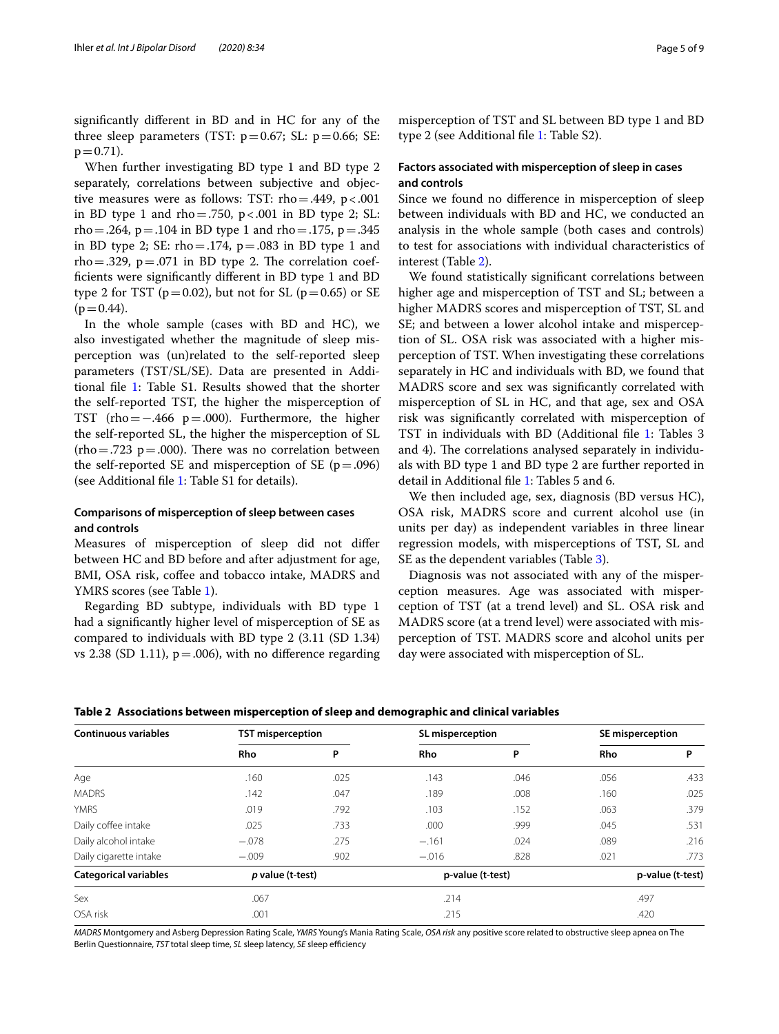signifcantly diferent in BD and in HC for any of the three sleep parameters (TST:  $p=0.67$ ; SL:  $p=0.66$ ; SE:  $p = 0.71$ ).

When further investigating BD type 1 and BD type 2 separately, correlations between subjective and objective measures were as follows: TST:  $rho = .449$ ,  $p < .001$ in BD type 1 and  $rho = .750$ ,  $p < .001$  in BD type 2; SL: rho = .264, p = .104 in BD type 1 and rho = .175, p = .345 in BD type 2; SE:  $rho = .174$ ,  $p = .083$  in BD type 1 and  $rho = .329$ ,  $p = .071$  in BD type 2. The correlation coeffcients were signifcantly diferent in BD type 1 and BD type 2 for TST ( $p=0.02$ ), but not for SL ( $p=0.65$ ) or SE  $(p=0.44)$ .

In the whole sample (cases with BD and HC), we also investigated whether the magnitude of sleep misperception was (un)related to the self-reported sleep parameters (TST/SL/SE). Data are presented in Additional fle [1:](#page-7-0) Table S1. Results showed that the shorter the self-reported TST, the higher the misperception of TST (rho= $-.466$  p= $.000$ ). Furthermore, the higher the self-reported SL, the higher the misperception of SL  $(rho = .723 \text{ p} = .000)$ . There was no correlation between the self-reported SE and misperception of SE ( $p = .096$ ) (see Additional fle [1:](#page-7-0) Table S1 for details).

# **Comparisons of misperception of sleep between cases and controls**

Measures of misperception of sleep did not difer between HC and BD before and after adjustment for age, BMI, OSA risk, coffee and tobacco intake, MADRS and YMRS scores (see Table [1](#page-3-0)).

Regarding BD subtype, individuals with BD type 1 had a signifcantly higher level of misperception of SE as compared to individuals with BD type 2 (3.11 (SD 1.34) vs 2.38 (SD 1.11),  $p = .006$ ), with no difference regarding misperception of TST and SL between BD type 1 and BD type 2 (see Additional fle [1:](#page-7-0) Table S2).

# **Factors associated with misperception of sleep in cases and controls**

Since we found no diference in misperception of sleep between individuals with BD and HC, we conducted an analysis in the whole sample (both cases and controls) to test for associations with individual characteristics of interest (Table [2\)](#page-4-0).

We found statistically signifcant correlations between higher age and misperception of TST and SL; between a higher MADRS scores and misperception of TST, SL and SE; and between a lower alcohol intake and misperception of SL. OSA risk was associated with a higher misperception of TST. When investigating these correlations separately in HC and individuals with BD, we found that MADRS score and sex was signifcantly correlated with misperception of SL in HC, and that age, sex and OSA risk was signifcantly correlated with misperception of TST in individuals with BD (Additional fle [1:](#page-7-0) Tables 3 and 4). The correlations analysed separately in individuals with BD type 1 and BD type 2 are further reported in detail in Additional fle [1:](#page-7-0) Tables 5 and 6.

We then included age, sex, diagnosis (BD versus HC), OSA risk, MADRS score and current alcohol use (in units per day) as independent variables in three linear regression models, with misperceptions of TST, SL and SE as the dependent variables (Table [3](#page-5-0)).

Diagnosis was not associated with any of the misperception measures. Age was associated with misperception of TST (at a trend level) and SL. OSA risk and MADRS score (at a trend level) were associated with misperception of TST. MADRS score and alcohol units per day were associated with misperception of SL.

<span id="page-4-0"></span>**Table 2 Associations between misperception of sleep and demographic and clinical variables**

| <b>Continuous variables</b>  | <b>TST misperception</b> |      | SL misperception |      | SE misperception |      |  |
|------------------------------|--------------------------|------|------------------|------|------------------|------|--|
|                              | <b>Rho</b>               | P    | <b>Rho</b>       | P    | Rho              | P    |  |
| Age                          | .160                     | .025 | .143             | .046 | .056             | .433 |  |
| <b>MADRS</b>                 | .142                     | .047 | .189             | .008 | .160             | .025 |  |
| <b>YMRS</b>                  | .019                     | .792 | .103             | .152 | .063             | .379 |  |
| Daily coffee intake          | .025                     | .733 | .000             | .999 | .045             | .531 |  |
| Daily alcohol intake         | $-.078$                  | .275 | $-.161$          | .024 | .089             | .216 |  |
| Daily cigarette intake       | $-.009$                  | .902 | $-.016$          | .828 | .021             | .773 |  |
| <b>Categorical variables</b> | <i>p</i> value (t-test)  |      | p-value (t-test) |      | p-value (t-test) |      |  |
| Sex                          | .067                     |      | .214             |      | .497             |      |  |
| OSA risk                     | .001                     |      | .215             |      | .420             |      |  |

*MADRS* Montgomery and Asberg Depression Rating Scale, *YMRS* Young's Mania Rating Scale, *OSA risk* any positive score related to obstructive sleep apnea on The Berlin Questionnaire, *TST* total sleep time, *SL* sleep latency, *SE* sleep efficiency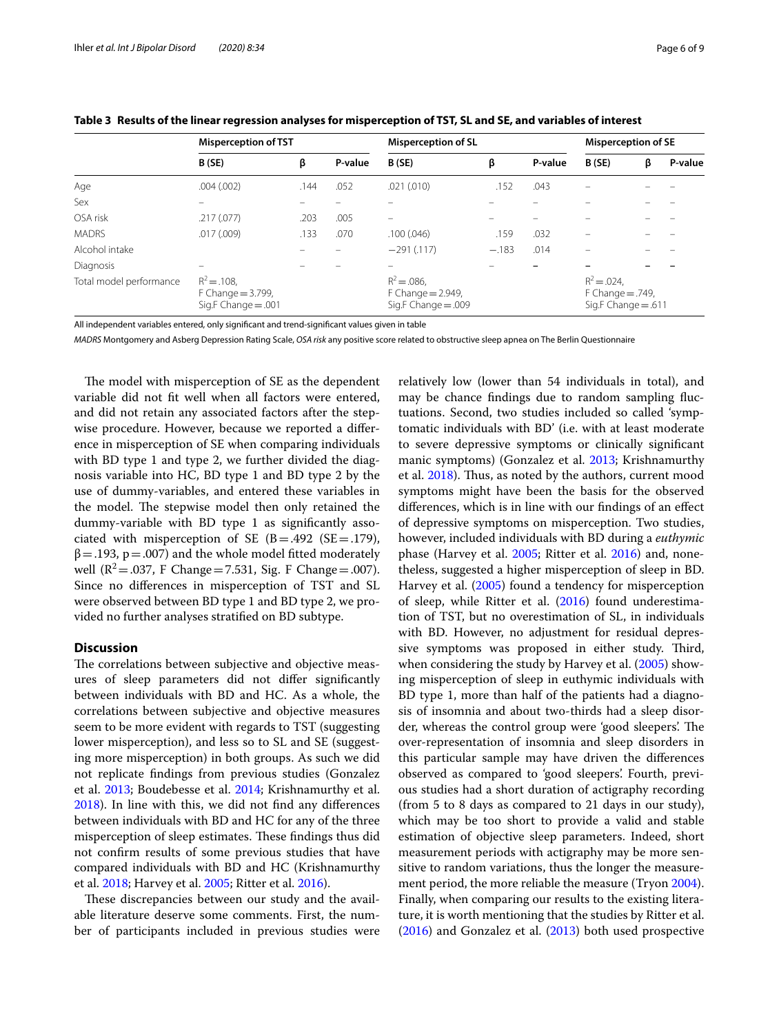|                         | <b>Misperception of TST</b>                                   |      | <b>Misperception of SL</b> |                                                                 |         | <b>Misperception of SE</b> |                                                               |   |         |
|-------------------------|---------------------------------------------------------------|------|----------------------------|-----------------------------------------------------------------|---------|----------------------------|---------------------------------------------------------------|---|---------|
|                         | B(SE)                                                         | ß    | P-value                    | B(SE)                                                           | β       | P-value                    | B (SE)                                                        | β | P-value |
| Age                     | .004(.002)                                                    | .144 | .052                       | .021(.010)                                                      | .152    | .043                       |                                                               |   |         |
| Sex                     |                                                               |      |                            |                                                                 |         |                            |                                                               |   |         |
| OSA risk                | .217(.077)                                                    | .203 | .005                       |                                                                 |         |                            |                                                               |   |         |
| <b>MADRS</b>            | .017(.009)                                                    | .133 | .070                       | .100(.046)                                                      | .159    | .032                       | $\overline{\phantom{0}}$                                      |   |         |
| Alcohol intake          |                                                               |      |                            | $-291(.117)$                                                    | $-.183$ | .014                       |                                                               |   |         |
| Diagnosis               |                                                               |      |                            |                                                                 |         |                            |                                                               |   |         |
| Total model performance | $R^2 = .108$<br>F Change = $3.799$ ,<br>Sig.F Change $= .001$ |      |                            | $R^2 = .086$ ,<br>F Change $= 2.949$ ,<br>Sig.F Change $= .009$ |         |                            | $R^2 = .024$ ,<br>F Change $=$ .749,<br>Sig.F Change = $.611$ |   |         |

<span id="page-5-0"></span>

|  |  | Table 3 Results of the linear regression analyses for misperception of TST, SL and SE, and variables of interest |
|--|--|------------------------------------------------------------------------------------------------------------------|
|  |  |                                                                                                                  |

All independent variables entered, only signifcant and trend-signifcant values given in table

*MADRS* Montgomery and Asberg Depression Rating Scale, *OSA risk* any positive score related to obstructive sleep apnea on The Berlin Questionnaire

The model with misperception of SE as the dependent variable did not ft well when all factors were entered, and did not retain any associated factors after the stepwise procedure. However, because we reported a diference in misperception of SE when comparing individuals with BD type 1 and type 2, we further divided the diagnosis variable into HC, BD type 1 and BD type 2 by the use of dummy-variables, and entered these variables in the model. The stepwise model then only retained the dummy-variable with BD type 1 as signifcantly associated with misperception of SE  $(B=.492 \text{ (SE}=.179)$ ,  $\beta$  = .193, p = .007) and the whole model fitted moderately well ( $R^2 = .037$ , F Change = 7.531, Sig. F Change = .007). Since no diferences in misperception of TST and SL were observed between BD type 1 and BD type 2, we provided no further analyses stratifed on BD subtype.

# **Discussion**

The correlations between subjective and objective measures of sleep parameters did not difer signifcantly between individuals with BD and HC. As a whole, the correlations between subjective and objective measures seem to be more evident with regards to TST (suggesting lower misperception), and less so to SL and SE (suggesting more misperception) in both groups. As such we did not replicate fndings from previous studies (Gonzalez et al. [2013;](#page-8-12) Boudebesse et al. [2014](#page-8-13); Krishnamurthy et al. [2018](#page-8-14)). In line with this, we did not fnd any diferences between individuals with BD and HC for any of the three misperception of sleep estimates. These findings thus did not confrm results of some previous studies that have compared individuals with BD and HC (Krishnamurthy et al. [2018;](#page-8-14) Harvey et al. [2005;](#page-8-17) Ritter et al. [2016](#page-8-18)).

These discrepancies between our study and the available literature deserve some comments. First, the number of participants included in previous studies were

relatively low (lower than 54 individuals in total), and may be chance fndings due to random sampling fuctuations. Second, two studies included so called 'symptomatic individuals with BD' (i.e. with at least moderate to severe depressive symptoms or clinically signifcant manic symptoms) (Gonzalez et al. [2013](#page-8-12); Krishnamurthy et al. [2018\)](#page-8-14). Thus, as noted by the authors, current mood symptoms might have been the basis for the observed diferences, which is in line with our fndings of an efect of depressive symptoms on misperception. Two studies, however, included individuals with BD during a *euthymic* phase (Harvey et al. [2005](#page-8-17); Ritter et al. [2016](#page-8-18)) and, nonetheless, suggested a higher misperception of sleep in BD. Harvey et al. ([2005](#page-8-17)) found a tendency for misperception of sleep, while Ritter et al. [\(2016\)](#page-8-17) found underestimation of TST, but no overestimation of SL, in individuals with BD. However, no adjustment for residual depressive symptoms was proposed in either study. Third, when considering the study by Harvey et al. [\(2005](#page-8-17)) showing misperception of sleep in euthymic individuals with BD type 1, more than half of the patients had a diagnosis of insomnia and about two-thirds had a sleep disorder, whereas the control group were 'good sleepers'. The over-representation of insomnia and sleep disorders in this particular sample may have driven the diferences observed as compared to 'good sleepers'. Fourth, previous studies had a short duration of actigraphy recording (from 5 to 8 days as compared to 21 days in our study), which may be too short to provide a valid and stable estimation of objective sleep parameters. Indeed, short measurement periods with actigraphy may be more sensitive to random variations, thus the longer the measurement period, the more reliable the measure (Tryon [2004](#page-8-24)). Finally, when comparing our results to the existing literature, it is worth mentioning that the studies by Ritter et al. ([2016\)](#page-8-18) and Gonzalez et al. ([2013](#page-8-12)) both used prospective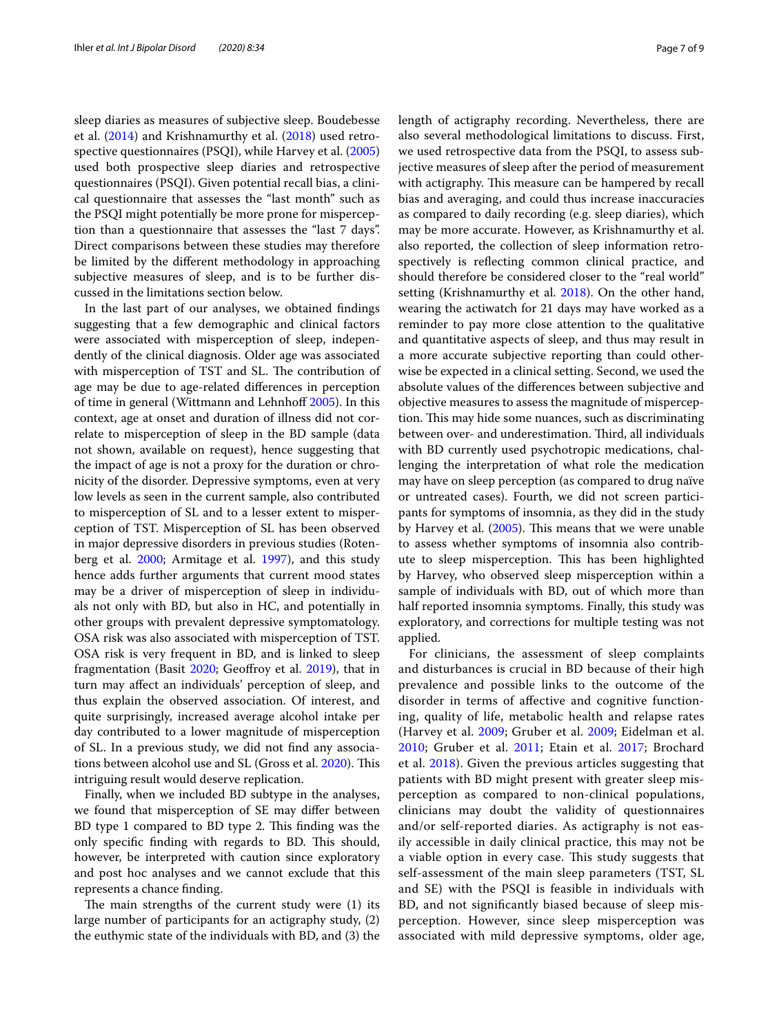sleep diaries as measures of subjective sleep. Boudebesse et al. ([2014\)](#page-8-13) and Krishnamurthy et al. ([2018](#page-8-14)) used retrospective questionnaires (PSQI), while Harvey et al. ([2005](#page-8-17)) used both prospective sleep diaries and retrospective questionnaires (PSQI). Given potential recall bias, a clinical questionnaire that assesses the "last month" such as the PSQI might potentially be more prone for misperception than a questionnaire that assesses the "last 7 days". Direct comparisons between these studies may therefore be limited by the diferent methodology in approaching subjective measures of sleep, and is to be further discussed in the limitations section below.

In the last part of our analyses, we obtained fndings suggesting that a few demographic and clinical factors were associated with misperception of sleep, independently of the clinical diagnosis. Older age was associated with misperception of TST and SL. The contribution of age may be due to age-related diferences in perception of time in general (Wittmann and Lehnhoff [2005](#page-8-25)). In this context, age at onset and duration of illness did not correlate to misperception of sleep in the BD sample (data not shown, available on request), hence suggesting that the impact of age is not a proxy for the duration or chronicity of the disorder. Depressive symptoms, even at very low levels as seen in the current sample, also contributed to misperception of SL and to a lesser extent to misperception of TST. Misperception of SL has been observed in major depressive disorders in previous studies (Rotenberg et al. [2000;](#page-8-15) Armitage et al. [1997\)](#page-8-16), and this study hence adds further arguments that current mood states may be a driver of misperception of sleep in individuals not only with BD, but also in HC, and potentially in other groups with prevalent depressive symptomatology. OSA risk was also associated with misperception of TST. OSA risk is very frequent in BD, and is linked to sleep fragmentation (Basit [2020;](#page-8-26) Geofroy et al. [2019\)](#page-8-27), that in turn may afect an individuals' perception of sleep, and thus explain the observed association. Of interest, and quite surprisingly, increased average alcohol intake per day contributed to a lower magnitude of misperception of SL. In a previous study, we did not fnd any associa-tions between alcohol use and SL (Gross et al. [2020](#page-8-28)). This intriguing result would deserve replication.

Finally, when we included BD subtype in the analyses, we found that misperception of SE may difer between BD type 1 compared to BD type 2. This finding was the only specific finding with regards to BD. This should, however, be interpreted with caution since exploratory and post hoc analyses and we cannot exclude that this represents a chance fnding.

The main strengths of the current study were  $(1)$  its large number of participants for an actigraphy study, (2) the euthymic state of the individuals with BD, and (3) the length of actigraphy recording. Nevertheless, there are also several methodological limitations to discuss. First, we used retrospective data from the PSQI, to assess subjective measures of sleep after the period of measurement with actigraphy. This measure can be hampered by recall bias and averaging, and could thus increase inaccuracies as compared to daily recording (e.g. sleep diaries), which may be more accurate. However, as Krishnamurthy et al. also reported, the collection of sleep information retrospectively is refecting common clinical practice, and should therefore be considered closer to the "real world" setting (Krishnamurthy et al. [2018](#page-8-14)). On the other hand, wearing the actiwatch for 21 days may have worked as a reminder to pay more close attention to the qualitative and quantitative aspects of sleep, and thus may result in a more accurate subjective reporting than could otherwise be expected in a clinical setting. Second, we used the absolute values of the diferences between subjective and objective measures to assess the magnitude of misperception. This may hide some nuances, such as discriminating between over- and underestimation. Third, all individuals with BD currently used psychotropic medications, challenging the interpretation of what role the medication may have on sleep perception (as compared to drug naïve or untreated cases). Fourth, we did not screen participants for symptoms of insomnia, as they did in the study by Harvey et al.  $(2005)$  $(2005)$  $(2005)$ . This means that we were unable to assess whether symptoms of insomnia also contribute to sleep misperception. This has been highlighted by Harvey, who observed sleep misperception within a sample of individuals with BD, out of which more than half reported insomnia symptoms. Finally, this study was exploratory, and corrections for multiple testing was not applied.

For clinicians, the assessment of sleep complaints and disturbances is crucial in BD because of their high prevalence and possible links to the outcome of the disorder in terms of afective and cognitive functioning, quality of life, metabolic health and relapse rates (Harvey et al. [2009;](#page-8-2) Gruber et al. [2009;](#page-8-3) Eidelman et al. [2010;](#page-8-4) Gruber et al. [2011](#page-8-5); Etain et al. [2017;](#page-8-6) Brochard et al. [2018\)](#page-8-7). Given the previous articles suggesting that patients with BD might present with greater sleep misperception as compared to non-clinical populations, clinicians may doubt the validity of questionnaires and/or self-reported diaries. As actigraphy is not easily accessible in daily clinical practice, this may not be a viable option in every case. This study suggests that self-assessment of the main sleep parameters (TST, SL and SE) with the PSQI is feasible in individuals with BD, and not signifcantly biased because of sleep misperception. However, since sleep misperception was associated with mild depressive symptoms, older age,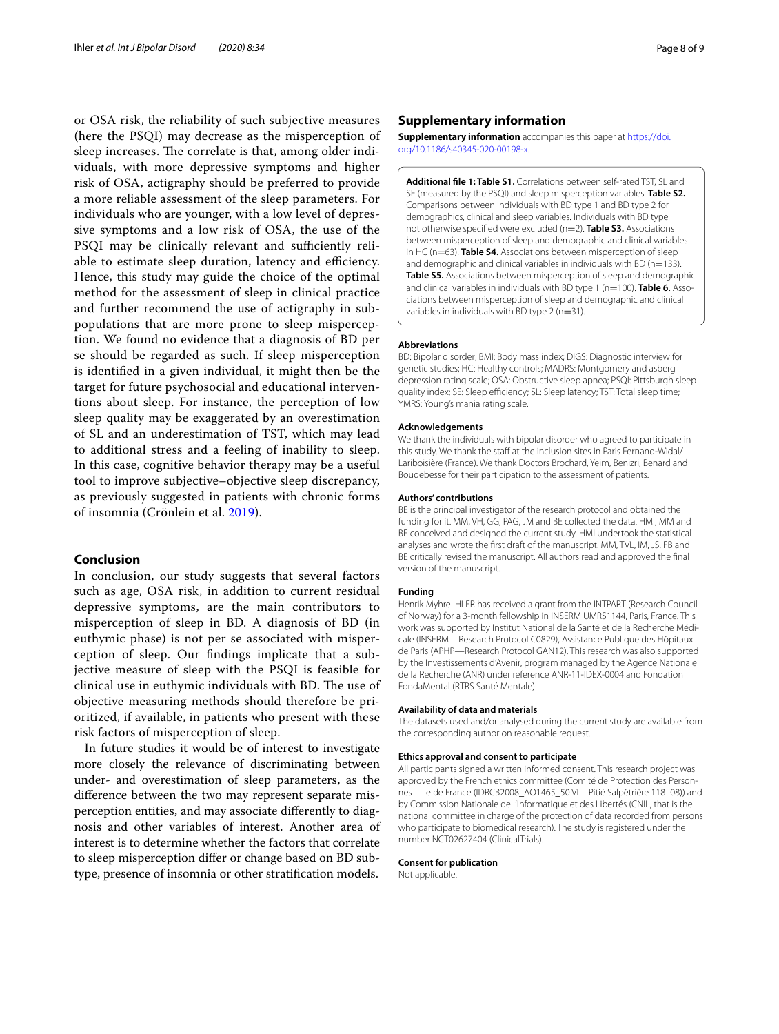or OSA risk, the reliability of such subjective measures (here the PSQI) may decrease as the misperception of sleep increases. The correlate is that, among older individuals, with more depressive symptoms and higher risk of OSA, actigraphy should be preferred to provide a more reliable assessment of the sleep parameters. For individuals who are younger, with a low level of depressive symptoms and a low risk of OSA, the use of the PSQI may be clinically relevant and sufficiently reliable to estimate sleep duration, latency and efficiency. Hence, this study may guide the choice of the optimal method for the assessment of sleep in clinical practice and further recommend the use of actigraphy in subpopulations that are more prone to sleep misperception. We found no evidence that a diagnosis of BD per se should be regarded as such. If sleep misperception is identifed in a given individual, it might then be the target for future psychosocial and educational interventions about sleep. For instance, the perception of low sleep quality may be exaggerated by an overestimation of SL and an underestimation of TST, which may lead to additional stress and a feeling of inability to sleep. In this case, cognitive behavior therapy may be a useful tool to improve subjective–objective sleep discrepancy, as previously suggested in patients with chronic forms of insomnia (Crönlein et al. [2019\)](#page-8-29).

## **Conclusion**

In conclusion, our study suggests that several factors such as age, OSA risk, in addition to current residual depressive symptoms, are the main contributors to misperception of sleep in BD. A diagnosis of BD (in euthymic phase) is not per se associated with misperception of sleep. Our fndings implicate that a subjective measure of sleep with the PSQI is feasible for clinical use in euthymic individuals with BD. The use of objective measuring methods should therefore be prioritized, if available, in patients who present with these risk factors of misperception of sleep.

In future studies it would be of interest to investigate more closely the relevance of discriminating between under- and overestimation of sleep parameters, as the diference between the two may represent separate misperception entities, and may associate diferently to diagnosis and other variables of interest. Another area of interest is to determine whether the factors that correlate to sleep misperception difer or change based on BD subtype, presence of insomnia or other stratifcation models.

#### **Supplementary information**

**Supplementary information** accompanies this paper at [https://doi.](https://doi.org/10.1186/s40345-020-00198-x) [org/10.1186/s40345-020-00198-x.](https://doi.org/10.1186/s40345-020-00198-x)

<span id="page-7-0"></span>**Additional fle 1: Table S1.** Correlations between self-rated TST, SL and SE (measured by the PSQI) and sleep misperception variables. **Table S2.** Comparisons between individuals with BD type 1 and BD type 2 for demographics, clinical and sleep variables. Individuals with BD type not otherwise specifed were excluded (n=2). **Table S3.** Associations between misperception of sleep and demographic and clinical variables in HC (n=63). **Table S4.** Associations between misperception of sleep and demographic and clinical variables in individuals with BD (n=133). **Table S5.** Associations between misperception of sleep and demographic and clinical variables in individuals with BD type 1 (n=100). Table 6. Associations between misperception of sleep and demographic and clinical variables in individuals with BD type 2 (n=31).

#### **Abbreviations**

BD: Bipolar disorder; BMI: Body mass index; DIGS: Diagnostic interview for genetic studies; HC: Healthy controls; MADRS: Montgomery and asberg depression rating scale; OSA: Obstructive sleep apnea; PSQI: Pittsburgh sleep quality index; SE: Sleep efficiency; SL: Sleep latency; TST: Total sleep time; YMRS: Young's mania rating scale.

#### **Acknowledgements**

We thank the individuals with bipolar disorder who agreed to participate in this study. We thank the staff at the inclusion sites in Paris Fernand-Widal/ Lariboisière (France). We thank Doctors Brochard, Yeim, Benizri, Benard and Boudebesse for their participation to the assessment of patients.

#### **Authors' contributions**

BE is the principal investigator of the research protocol and obtained the funding for it. MM, VH, GG, PAG, JM and BE collected the data. HMI, MM and BE conceived and designed the current study. HMI undertook the statistical analyses and wrote the frst draft of the manuscript. MM, TVL, IM, JS, FB and BE critically revised the manuscript. All authors read and approved the fnal version of the manuscript.

#### **Funding**

Henrik Myhre IHLER has received a grant from the INTPART (Research Council of Norway) for a 3-month fellowship in INSERM UMRS1144, Paris, France. This work was supported by Institut National de la Santé et de la Recherche Médicale (INSERM—Research Protocol C0829), Assistance Publique des Hôpitaux de Paris (APHP—Research Protocol GAN12). This research was also supported by the Investissements d'Avenir, program managed by the Agence Nationale de la Recherche (ANR) under reference ANR-11-IDEX-0004 and Fondation FondaMental (RTRS Santé Mentale).

#### **Availability of data and materials**

The datasets used and/or analysed during the current study are available from the corresponding author on reasonable request.

#### **Ethics approval and consent to participate**

All participants signed a written informed consent. This research project was approved by the French ethics committee (Comité de Protection des Personnes—Ile de France (IDRCB2008\_AO1465\_50 VI—Pitié Salpêtrière 118–08)) and by Commission Nationale de l'Informatique et des Libertés (CNIL, that is the national committee in charge of the protection of data recorded from persons who participate to biomedical research). The study is registered under the number NCT02627404 (ClinicalTrials).

#### **Consent for publication**

Not applicable.